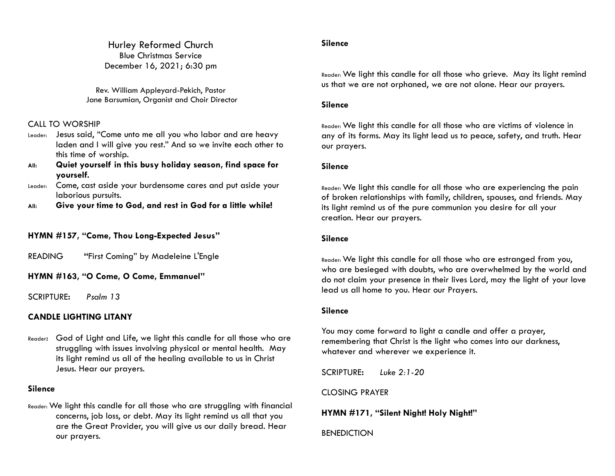Hurley Reformed Church Blue Christmas Service December 16, 2021; 6:30 pm

Rev. William Appleyard-Pekich, Pastor Jane Barsumian, Organist and Choir Director

#### CALL TO WORSHIP

- Leader: Jesus said, "Come unto me all you who labor and are heavy laden and I will give you rest." And so we invite each other to this time of worship.
- **All: Quiet yourself in this busy holiday season, find space for yourself.**
- Leader: Come, cast aside your burdensome cares and put aside your laborious pursuits.
- **All: Give your time to God, and rest in God for a little while!**

#### **HYMN #157, "Come, Thou Long-Expected Jesus"**

READING **"**First Coming" by Madeleine L'Engle

**HYMN #163, "O Come, O Come, Emmanuel"**

SCRIPTURE**:** *Psalm 13* 

### **CANDLE LIGHTING LITANY**

Reader: God of Light and Life, we light this candle for all those who are struggling with issues involving physical or mental health. May its light remind us all of the healing available to us in Christ Jesus. Hear our prayers.

#### **Silence**

Reader: We light this candle for all those who are struggling with financial concerns, job loss, or debt. May its light remind us all that you are the Great Provider, you will give us our daily bread. Hear our prayers.

#### **Silence**

Reader: We light this candle for all those who grieve. May its light remind us that we are not orphaned, we are not alone. Hear our prayers.

#### **Silence**

Reader: We light this candle for all those who are victims of violence in any of its forms. May its light lead us to peace, safety, and truth. Hear our prayers.

#### **Silence**

Reader: We light this candle for all those who are experiencing the pain of broken relationships with family, children, spouses, and friends. May its light remind us of the pure communion you desire for all your creation. Hear our prayers.

#### **Silence**

Reader: We light this candle for all those who are estranged from you, who are besieged with doubts, who are overwhelmed by the world and do not claim your presence in their lives Lord, may the light of your love lead us all home to you. Hear our Prayers.

#### **Silence**

You may come forward to light a candle and offer a prayer, remembering that Christ is the light who comes into our darkness, whatever and wherever we experience it.

SCRIPTURE**:** *Luke 2:1-20* 

#### CLOSING PRAYER

**HYMN #171, "Silent Night! Holy Night!"**

BENEDICTION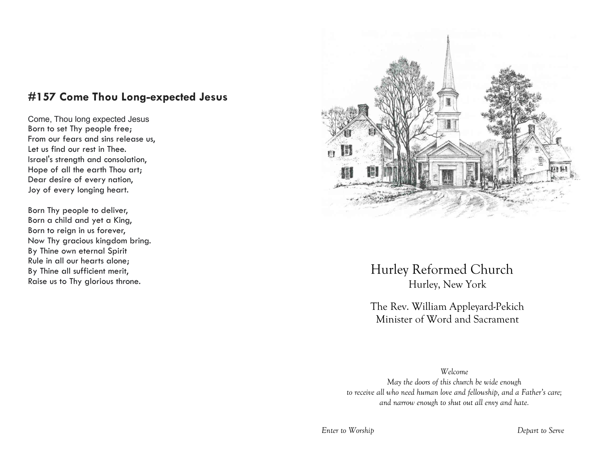# **#157 Come Thou Long-expected Jesus**

Come, Thou long expected Jesus Born to set Thy people free; From our fears and sins release us, Let us find our rest in Thee. Israel's strength and consolation, Hope of all the earth Thou art; Dear desire of every nation, Joy of every longing heart.

Born Thy people to deliver, Born a child and yet a King, Born to reign in us forever, Now Thy gracious kingdom bring. By Thine own eternal Spirit Rule in all our hearts alone; By Thine all sufficient merit, Raise us to Thy glorious throne.



Hurley Reformed Church Hurley, New York

The Rev. William Appleyard-Pekich Minister of Word and Sacrament

*Welcome May the doors of this church be wide enough to receive all who need human love and fellowship, and a Father's care; and narrow enough to shut out all envy and hate.*

*Enter to Worship Depart to Serve*